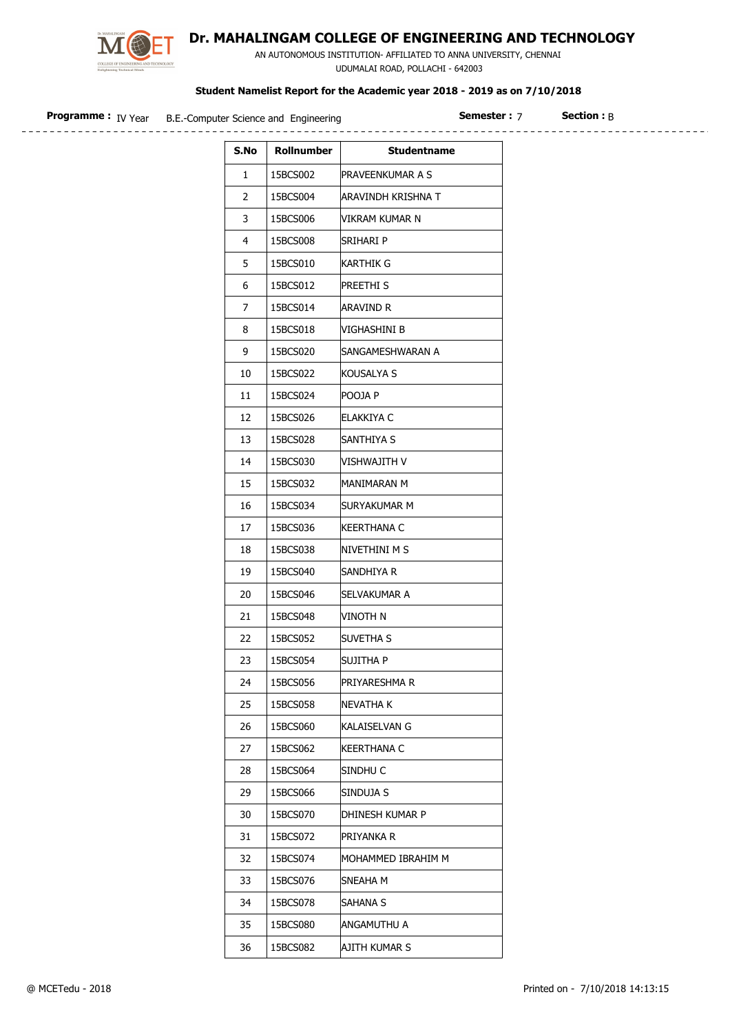

## Dr. MAHALINGAM COLLEGE OF ENGINEERING AND TECHNOLOGY

 AN AUTONOMOUS INSTITUTION- AFFILIATED TO ANNA UNIVERSITY, CHENNAI UDUMALAI ROAD, POLLACHI - 642003

| <b>Programme:</b> IV Year | B.E.-Computer Science and Engineering |            | <b>Semester: 7</b>        | <b>Section: B</b> |
|---------------------------|---------------------------------------|------------|---------------------------|-------------------|
|                           | S.No                                  | Rollnumber | <b>Studentname</b>        |                   |
|                           | $\mathbf{1}$                          | 15BCS002   | PRAVEENKUMAR A S          |                   |
|                           | $\overline{2}$                        | 15BCS004   | <b>ARAVINDH KRISHNA T</b> |                   |
|                           | 3                                     | 15BCS006   | VIKRAM KUMAR N            |                   |
|                           | $\overline{4}$                        | 15BCS008   | Srihari P                 |                   |
|                           | 5                                     | 15BCS010   | <b>KARTHIK G</b>          |                   |
|                           | 6                                     | 15BCS012   | PREETHI <sub>S</sub>      |                   |
|                           | $\overline{7}$                        | 15BCS014   | Aravind R                 |                   |
|                           | 8                                     | 15BCS018   | VIGHASHINI B              |                   |
|                           | 9                                     | 15BCS020   | SANGAMESHWARAN A          |                   |
|                           | 10                                    | 15BCS022   | KOUSALYA S                |                   |
|                           | 11                                    | 15BCS024   | POOJA P                   |                   |
|                           | 12                                    | 15BCS026   | ELAKKIYA C                |                   |
|                           | 13                                    | 15BCS028   | SANTHIYA S                |                   |
|                           | 14                                    | 15BCS030   | VISHWAJITH V              |                   |
|                           | 15                                    | 15BCS032   | MANIMARAN M               |                   |
|                           | 16                                    | 15BCS034   | SURYAKUMAR M              |                   |
|                           | 17                                    | 15BCS036   | <b>KEERTHANA C</b>        |                   |
|                           | 18                                    | 15BCS038   | NIVETHINI M S             |                   |
|                           | 19                                    | 15BCS040   | Sandhiya R                |                   |
|                           | 20                                    | 15BCS046   | <b>SELVAKUMAR A</b>       |                   |
|                           | 21                                    | 15BCS048   | VINOTH N                  |                   |
|                           | 22                                    | 15BCS052   | <b>SUVETHA S</b>          |                   |
|                           | 23                                    | 15BCS054   | <b>SUJITHA P</b>          |                   |
|                           | 24                                    | 15BCS056   | PRIYARESHMA R             |                   |
|                           | 25                                    | 15BCS058   | NEVATHA K                 |                   |
|                           | 26                                    | 15BCS060   | KALAISELVAN G             |                   |
|                           | 27                                    | 15BCS062   | <b>KEERTHANA C</b>        |                   |
|                           | 28                                    | 15BCS064   | SINDHU C                  |                   |
|                           | 29                                    | 15BCS066   | SINDUJA S                 |                   |
|                           | 30                                    | 15BCS070   | DHINESH KUMAR P           |                   |
|                           | 31                                    | 15BCS072   | <b>PRIYANKA R</b>         |                   |

32 15BCS074 MOHAMMED IBRAHIM M

33 | 15BCS076 | SNEAHA M 34 | 15BCS078 | SAHANA S 35 15BCS080 ANGAMUTHU A 36 15BCS082 AJITH KUMAR S  $\overline{\phantom{a}}$